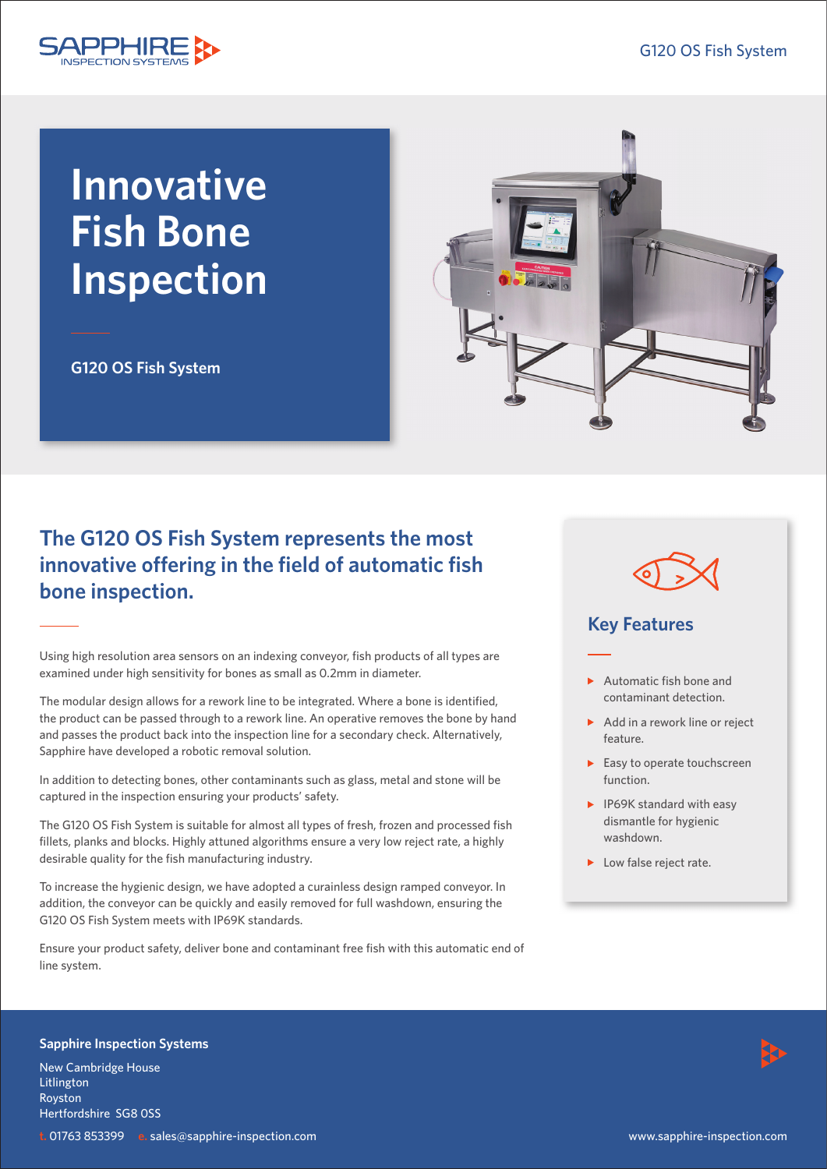

# **Innovative Fish Bone Inspection**

**G120 OS Fish System**

## **The G120 OS Fish System represents the most innovative offering in the field of automatic fish bone inspection.**

Using high resolution area sensors on an indexing conveyor, fish products of all types are examined under high sensitivity for bones as small as 0.2mm in diameter.

The modular design allows for a rework line to be integrated. Where a bone is identified, the product can be passed through to a rework line. An operative removes the bone by hand and passes the product back into the inspection line for a secondary check. Alternatively, Sapphire have developed a robotic removal solution.

In addition to detecting bones, other contaminants such as glass, metal and stone will be captured in the inspection ensuring your products' safety.

The G120 OS Fish System is suitable for almost all types of fresh, frozen and processed fish fillets, planks and blocks. Highly attuned algorithms ensure a very low reject rate, a highly desirable quality for the fish manufacturing industry.

To increase the hygienic design, we have adopted a curainless design ramped conveyor. In addition, the conveyor can be quickly and easily removed for full washdown, ensuring the G120 OS Fish System meets with IP69K standards.

Ensure your product safety, deliver bone and contaminant free fish with this automatic end of line system.





### **Key Features**

- $\blacktriangleright$  Automatic fish bone and contaminant detection.
- $\triangleright$  Add in a rework line or reject feature.
- $\blacktriangleright$  Easy to operate touchscreen function.
- $\blacktriangleright$  IP69K standard with easy dismantle for hygienic washdown.
- ▶ Low false reject rate.

#### **Sapphire Inspection Systems**

New Cambridge House Litlington Royston Hertfordshire SG8 0SS